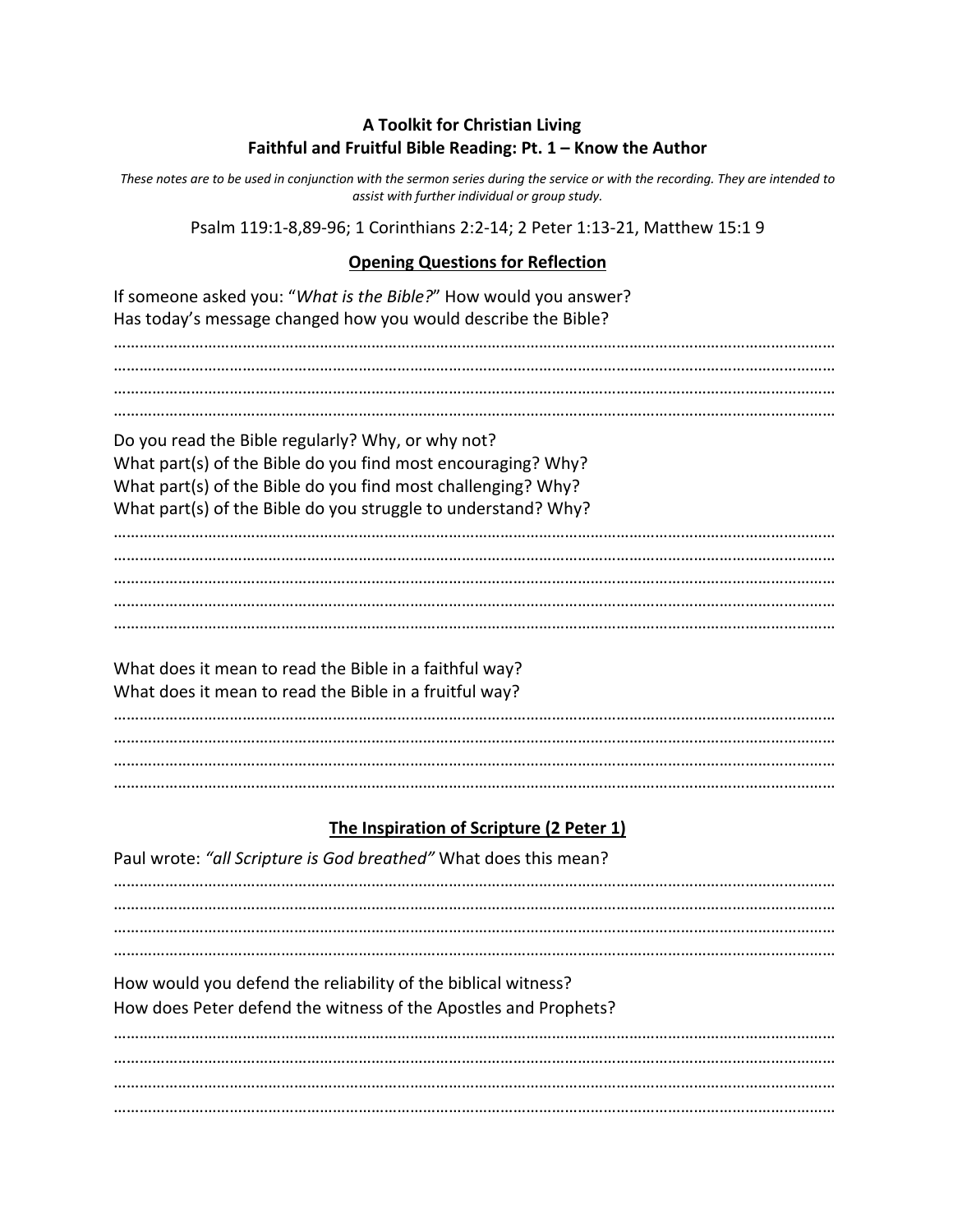#### **A Toolkit for Christian Living Faithful and Fruitful Bible Reading: Pt. 1 – Know the Author**

*These notes are to be used in conjunction with the sermon series during the service or with the recording. They are intended to assist with further individual or group study.*

Psalm 119:1-8,89-96; 1 Corinthians 2:2-14; 2 Peter 1:13-21, Matthew 15:1 9

#### **Opening Questions for Reflection**

If someone asked you: "*What is the Bible?*" How would you answer? Has today's message changed how you would describe the Bible? …………………………………………………………………………………………………………………………………………………… …………………………………………………………………………………………………………………………………………………… …………………………………………………………………………………………………………………………………………………… Do you read the Bible regularly? Why, or why not? What part(s) of the Bible do you find most encouraging? Why? What part(s) of the Bible do you find most challenging? Why? What part(s) of the Bible do you struggle to understand? Why? …………………………………………………………………………………………………………………………………………………… …………………………………………………………………………………………………………………………………………………… …………………………………………………………………………………………………………………………………………………… …………………………………………………………………………………………………………………………………………………… …………………………………………………………………………………………………………………………………………………… What does it mean to read the Bible in a faithful way? What does it mean to read the Bible in a fruitful way? …………………………………………………………………………………………………………………………………………………… …………………………………………………………………………………………………………………………………………………… …………………………………………………………………………………………………………………………………………………… ……………………………………………………………………………………………………………………………………………………

#### **The Inspiration of Scripture (2 Peter 1)**

| Paul wrote: "all Scripture is God breathed" What does this mean?                                                                 |
|----------------------------------------------------------------------------------------------------------------------------------|
|                                                                                                                                  |
|                                                                                                                                  |
| How would you defend the reliability of the biblical witness?<br>How does Peter defend the witness of the Apostles and Prophets? |
|                                                                                                                                  |
|                                                                                                                                  |
|                                                                                                                                  |